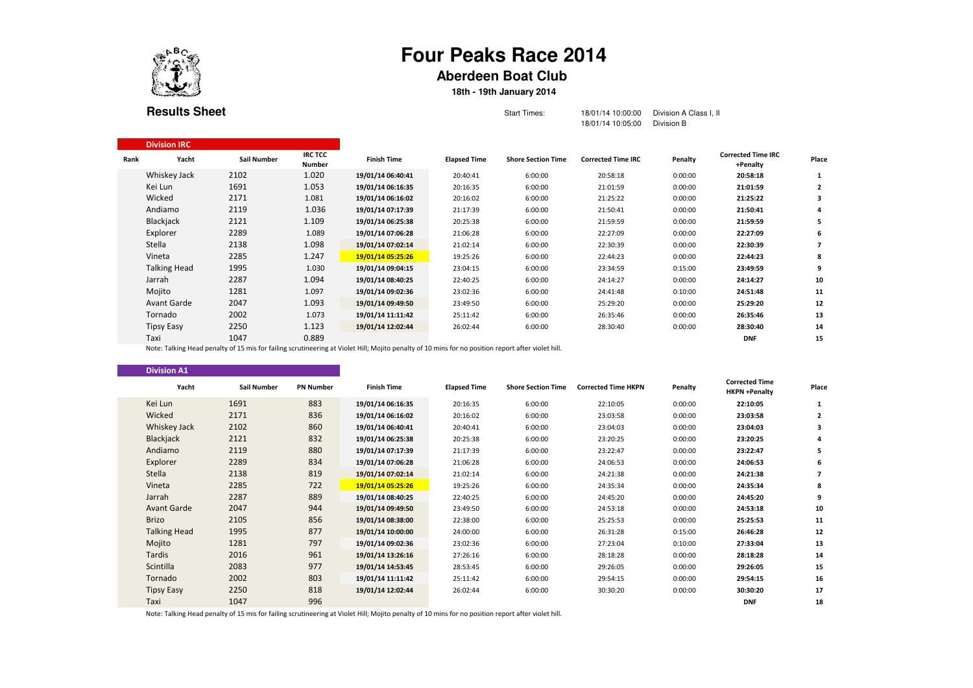

Division IRC

## **Four Peaks Race 2014**

## **Aberdeen Boat Club**

## **18th - 19th January 2014**

| <b>Results Sheet</b> |  |
|----------------------|--|
|----------------------|--|

| Start Times: | 18/01/14 10:00:00    Division A Class I, II |
|--------------|---------------------------------------------|
|              |                                             |

18/01/14 10:05:00 Division B

| Rank | Yacht               | Sail Number | <b>IRC TCC</b><br><b>Number</b> | <b>Finish Time</b>                                                                                                                                 | <b>Elapsed Time</b> | <b>Shore Section Time</b> | <b>Corrected Time IRC</b> | Penalty | <b>Corrected Time IRC</b><br>+Penalty | Place |
|------|---------------------|-------------|---------------------------------|----------------------------------------------------------------------------------------------------------------------------------------------------|---------------------|---------------------------|---------------------------|---------|---------------------------------------|-------|
|      | Whiskey Jack        | 2102        | 1.020                           | 19/01/14 06:40:41                                                                                                                                  | 20:40:41            | 6:00:00                   | 20:58:18                  | 0:00:00 | 20:58:18                              |       |
|      | Kei Lun             | 1691        | 1.053                           | 19/01/14 06:16:35                                                                                                                                  | 20:16:35            | 6:00:00                   | 21:01:59                  | 0:00:00 | 21:01:59                              |       |
|      | Wicked              | 2171        | 1.081                           | 19/01/14 06:16:02                                                                                                                                  | 20:16:02            | 6:00:00                   | 21:25:22                  | 0:00:00 | 21:25:22                              |       |
|      | Andiamo             | 2119        | 1.036                           | 19/01/14 07:17:39                                                                                                                                  | 21:17:39            | 6:00:00                   | 21:50:41                  | 0:00:00 | 21:50:41                              | 4     |
|      | Blackjack           | 2121        | 1.109                           | 19/01/14 06:25:38                                                                                                                                  | 20:25:38            | 6:00:00                   | 21:59:59                  | 0:00:00 | 21:59:59                              | 5     |
|      | Explorer            | 2289        | 1.089                           | 19/01/14 07:06:28                                                                                                                                  | 21:06:28            | 6:00:00                   | 22:27:09                  | 0:00:00 | 22:27:09                              | 6     |
|      | Stella              | 2138        | 1.098                           | 19/01/14 07:02:14                                                                                                                                  | 21:02:14            | 6:00:00                   | 22:30:39                  | 0:00:00 | 22:30:39                              |       |
|      | Vineta              | 2285        | 1.247                           | 19/01/14 05:25:26                                                                                                                                  | 19:25:26            | 6:00:00                   | 22:44:23                  | 0:00:00 | 22:44:23                              | 8     |
|      | <b>Talking Head</b> | 1995        | 1.030                           | 19/01/14 09:04:15                                                                                                                                  | 23:04:15            | 6:00:00                   | 23:34:59                  | 0:15:00 | 23:49:59                              | 9     |
|      | Jarrah              | 2287        | 1.094                           | 19/01/14 08:40:25                                                                                                                                  | 22:40:25            | 6:00:00                   | 24:14:27                  | 0:00:00 | 24:14:27                              | 10    |
|      | Mojito              | 1281        | 1.097                           | 19/01/14 09:02:36                                                                                                                                  | 23:02:36            | 6:00:00                   | 24:41:48                  | 0:10:00 | 24:51:48                              | 11    |
|      | <b>Avant Garde</b>  | 2047        | 1.093                           | 19/01/14 09:49:50                                                                                                                                  | 23:49:50            | 6:00:00                   | 25:29:20                  | 0:00:00 | 25:29:20                              | 12    |
|      | Tornado             | 2002        | 1.073                           | 19/01/14 11:11:42                                                                                                                                  | 25:11:42            | 6:00:00                   | 26:35:46                  | 0:00:00 | 26:35:46                              | 13    |
|      | <b>Tipsy Easy</b>   | 2250        | 1.123                           | 19/01/14 12:02:44                                                                                                                                  | 26:02:44            | 6:00:00                   | 28:30:40                  | 0:00:00 | 28:30:40                              | 14    |
|      | Taxi                | 1047        | 0.889                           |                                                                                                                                                    |                     |                           |                           |         | <b>DNF</b>                            | 15    |
|      |                     |             |                                 | Note: Talking Head penalty of 15 mis for failing scrutineering at Violet Hill; Mojito penalty of 10 mins for no position report after violet hill. |                     |                           |                           |         |                                       |       |

| <b>Division A1</b>  |                    |                  |                                                                                                                                                    |                     |                           |                            |         |                                               |                          |
|---------------------|--------------------|------------------|----------------------------------------------------------------------------------------------------------------------------------------------------|---------------------|---------------------------|----------------------------|---------|-----------------------------------------------|--------------------------|
| Yacht               | <b>Sail Number</b> | <b>PN Number</b> | <b>Finish Time</b>                                                                                                                                 | <b>Elapsed Time</b> | <b>Shore Section Time</b> | <b>Corrected Time HKPN</b> | Penalty | <b>Corrected Time</b><br><b>HKPN +Penaltv</b> | Place                    |
| Kei Lun             | 1691               | 883              | 19/01/14 06:16:35                                                                                                                                  | 20:16:35            | 6:00:00                   | 22:10:05                   | 0:00:00 | 22:10:05                                      | 1                        |
| Wicked              | 2171               | 836              | 19/01/14 06:16:02                                                                                                                                  | 20:16:02            | 6:00:00                   | 23:03:58                   | 0:00:00 | 23:03:58                                      | $\overline{2}$           |
| Whiskey Jack        | 2102               | 860              | 19/01/14 06:40:41                                                                                                                                  | 20:40:41            | 6:00:00                   | 23:04:03                   | 0:00:00 | 23:04:03                                      | 3                        |
| Blackjack           | 2121               | 832              | 19/01/14 06:25:38                                                                                                                                  | 20:25:38            | 6:00:00                   | 23:20:25                   | 0:00:00 | 23:20:25                                      | 4                        |
| Andiamo             | 2119               | 880              | 19/01/14 07:17:39                                                                                                                                  | 21:17:39            | 6:00:00                   | 23:22:47                   | 0:00:00 | 23:22:47                                      | 5                        |
| Explorer            | 2289               | 834              | 19/01/14 07:06:28                                                                                                                                  | 21:06:28            | 6:00:00                   | 24:06:53                   | 0:00:00 | 24:06:53                                      | 6                        |
| Stella              | 2138               | 819              | 19/01/14 07:02:14                                                                                                                                  | 21:02:14            | 6:00:00                   | 24:21:38                   | 0:00:00 | 24:21:38                                      | $\overline{\phantom{a}}$ |
| Vineta              | 2285               | 722              | 19/01/14 05:25:26                                                                                                                                  | 19:25:26            | 6:00:00                   | 24:35:34                   | 0:00:00 | 24:35:34                                      | 8                        |
| Jarrah              | 2287               | 889              | 19/01/14 08:40:25                                                                                                                                  | 22:40:25            | 6:00:00                   | 24:45:20                   | 0:00:00 | 24:45:20                                      | 9                        |
| <b>Avant Garde</b>  | 2047               | 944              | 19/01/14 09:49:50                                                                                                                                  | 23:49:50            | 6:00:00                   | 24:53:18                   | 0:00:00 | 24:53:18                                      | 10                       |
| <b>Brizo</b>        | 2105               | 856              | 19/01/14 08:38:00                                                                                                                                  | 22:38:00            | 6:00:00                   | 25:25:53                   | 0:00:00 | 25:25:53                                      | 11                       |
| <b>Talking Head</b> | 1995               | 877              | 19/01/14 10:00:00                                                                                                                                  | 24:00:00            | 6:00:00                   | 26:31:28                   | 0:15:00 | 26:46:28                                      | 12                       |
| Mojito              | 1281               | 797              | 19/01/14 09:02:36                                                                                                                                  | 23:02:36            | 6:00:00                   | 27:23:04                   | 0:10:00 | 27:33:04                                      | 13                       |
| Tardis              | 2016               | 961              | 19/01/14 13:26:16                                                                                                                                  | 27:26:16            | 6:00:00                   | 28:18:28                   | 0:00:00 | 28:18:28                                      | 14                       |
| Scintilla           | 2083               | 977              | 19/01/14 14:53:45                                                                                                                                  | 28:53:45            | 6:00:00                   | 29:26:05                   | 0:00:00 | 29:26:05                                      | 15                       |
| Tornado             | 2002               | 803              | 19/01/14 11:11:42                                                                                                                                  | 25:11:42            | 6:00:00                   | 29:54:15                   | 0:00:00 | 29:54:15                                      | 16                       |
| <b>Tipsy Easy</b>   | 2250               | 818              | 19/01/14 12:02:44                                                                                                                                  | 26:02:44            | 6:00:00                   | 30:30:20                   | 0:00:00 | 30:30:20                                      | 17                       |
| Taxi                | 1047               | 996              |                                                                                                                                                    |                     |                           |                            |         | <b>DNF</b>                                    | 18                       |
|                     |                    |                  | Note: Talking Head penalty of 15 mis for failing scrutineering at Violet Hill; Mojito penalty of 10 mins for no position report after violet hill. |                     |                           |                            |         |                                               |                          |